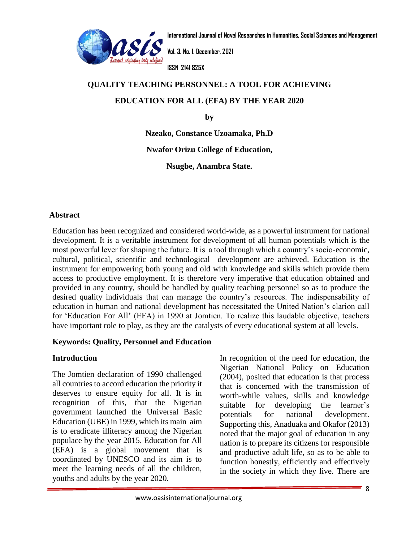

**Vol. 3. No. 1. December, 2021**

**ISSN 2141 825X**

# **QUALITY TEACHI[NG PERSONNEL: A TO](http://www.oasisinternationaljournal.org/)OL FOR ACHIEVING www.oasisinternationaljournal.orgEDUCATION FOR ALL (EFA) BY THE YEAR 2020**

**by**

**Nzeako, Constance Uzoamaka, Ph.D**

**Nwafor Orizu College of Education,**

**Nsugbe, Anambra State.**

# **Abstract**

Education has been recognized and considered world-wide, as a powerful instrument for national development. It is a veritable instrument for development of all human potentials which is the most powerful lever for shaping the future. It is a tool through which a country's socio-economic, cultural, political, scientific and technological development are achieved. Education is the instrument for empowering both young and old with knowledge and skills which provide them access to productive employment. It is therefore very imperative that education obtained and provided in any country, should be handled by quality teaching personnel so as to produce the desired quality individuals that can manage the country's resources. The indispensability of education in human and national development has necessitated the United Nation's clarion call for 'Education For All' (EFA) in 1990 at Jomtien. To realize this laudable objective, teachers have important role to play, as they are the catalysts of every educational system at all levels.

# **Keywords: Quality, Personnel and Education**

# **Introduction**

The Jomtien declaration of 1990 challenged all countries to accord education the priority it deserves to ensure equity for all. It is in recognition of this, that the Nigerian government launched the Universal Basic Education (UBE) in 1999, which its main aim is to eradicate illiteracy among the Nigerian populace by the year 2015. Education for All (EFA) is a global movement that is coordinated by UNESCO and its aim is to meet the learning needs of all the children, youths and adults by the year 2020.

In recognition of the need for education, the Nigerian National Policy on Education (2004), posited that education is that process that is concerned with the transmission of worth-while values, skills and knowledge suitable for developing the learner's potentials for national development. Supporting this, Anaduaka and Okafor (2013) noted that the major goal of education in any nation is to prepare its citizens for responsible and productive adult life, so as to be able to function honestly, efficiently and effectively in the society in which they live. There are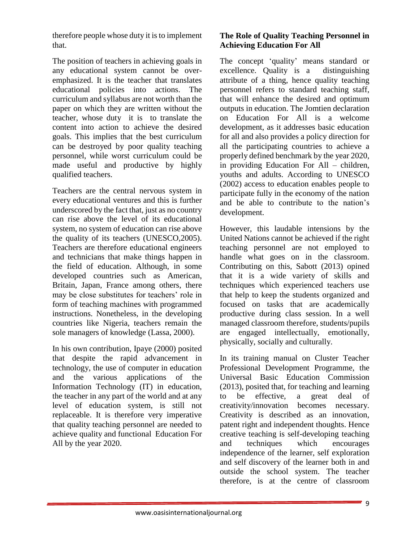therefore people whose duty it is to implement that.

The position of teachers in achieving goals in any educational system cannot be overemphasized. It is the teacher that translates educational policies into actions. The curriculum and syllabus are not worth than the paper on which they are written without the teacher, whose duty it is to translate the content into action to achieve the desired goals. This implies that the best curriculum can be destroyed by poor quality teaching personnel, while worst curriculum could be made useful and productive by highly qualified teachers.

Teachers are the central nervous system in every educational ventures and this is further underscored by the fact that, just as no country can rise above the level of its educational system, no system of education can rise above the quality of its teachers (UNESCO,2005). Teachers are therefore educational engineers and technicians that make things happen in the field of education. Although, in some developed countries such as American, Britain, Japan, France among others, there may be close substitutes for teachers' role in form of teaching machines with programmed instructions. Nonetheless, in the developing countries like Nigeria, teachers remain the sole managers of knowledge (Lassa, 2000).

In his own contribution, Ipaye (2000) posited that despite the rapid advancement in technology, the use of computer in education and the various applications of the Information Technology (IT) in education, the teacher in any part of the world and at any level of education system, is still not replaceable. It is therefore very imperative that quality teaching personnel are needed to achieve quality and functional Education For All by the year 2020.

# **The Role of Quality Teaching Personnel in Achieving Education For All**

The concept 'quality' means standard or excellence. Quality is a distinguishing attribute of a thing, hence quality teaching personnel refers to standard teaching staff, that will enhance the desired and optimum outputs in education. The Jomtien declaration on Education For All is a welcome development, as it addresses basic education for all and also provides a policy direction for all the participating countries to achieve a properly defined benchmark by the year 2020, in providing Education For All – children, youths and adults. According to UNESCO (2002) access to education enables people to participate fully in the economy of the nation and be able to contribute to the nation's development.

However, this laudable intensions by the United Nations cannot be achieved if the right teaching personnel are not employed to handle what goes on in the classroom. Contributing on this, Sabott (2013) opined that it is a wide variety of skills and techniques which experienced teachers use that help to keep the students organized and focused on tasks that are academically productive during class session. In a well managed classroom therefore, students/pupils are engaged intellectually, emotionally, physically, socially and culturally.

In its training manual on Cluster Teacher Professional Development Programme, the Universal Basic Education Commission (2013), posited that, for teaching and learning to be effective, a great deal of creativity/innovation becomes necessary. Creativity is described as an innovation, patent right and independent thoughts. Hence creative teaching is self-developing teaching and techniques which encourages independence of the learner, self exploration and self discovery of the learner both in and outside the school system. The teacher therefore, is at the centre of classroom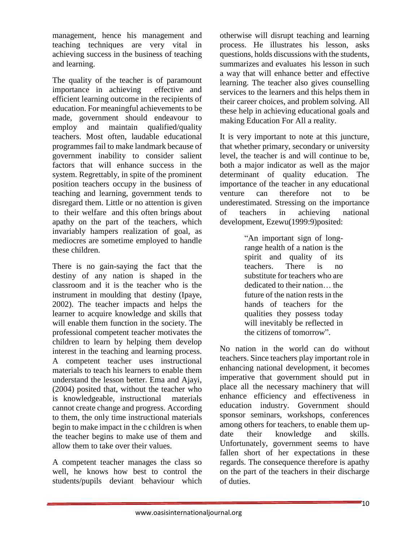management, hence his management and teaching techniques are very vital in achieving success in the business of teaching and learning.

The quality of the teacher is of paramount importance in achieving effective and efficient learning outcome in the recipients of education. For meaningful achievements to be made, government should endeavour to employ and maintain qualified/quality teachers. Most often, laudable educational programmes fail to make landmark because of government inability to consider salient factors that will enhance success in the system. Regrettably, in spite of the prominent position teachers occupy in the business of teaching and learning, government tends to disregard them. Little or no attention is given to their welfare and this often brings about apathy on the part of the teachers, which invariably hampers realization of goal, as mediocres are sometime employed to handle these children.

There is no gain-saying the fact that the destiny of any nation is shaped in the classroom and it is the teacher who is the instrument in moulding that destiny (Ipaye, 2002). The teacher impacts and helps the learner to acquire knowledge and skills that will enable them function in the society. The professional competent teacher motivates the children to learn by helping them develop interest in the teaching and learning process. A competent teacher uses instructional materials to teach his learners to enable them understand the lesson better. Ema and Ajayi, (2004) posited that, without the teacher who is knowledgeable, instructional materials cannot create change and progress. According to them, the only time instructional materials begin to make impact in the c children is when the teacher begins to make use of them and allow them to take over their values.

A competent teacher manages the class so well, he knows how best to control the students/pupils deviant behaviour which otherwise will disrupt teaching and learning process. He illustrates his lesson, asks questions, holds discussions with the students, summarizes and evaluates his lesson in such a way that will enhance better and effective learning. The teacher also gives counselling services to the learners and this helps them in their career choices, and problem solving. All these help in achieving educational goals and making Education For All a reality.

It is very important to note at this juncture, that whether primary, secondary or university level, the teacher is and will continue to be, both a major indicator as well as the major determinant of quality education. The importance of the teacher in any educational venture can therefore not to be underestimated. Stressing on the importance of teachers in achieving national development, Ezewu(1999:9)posited:

> "An important sign of longrange health of a nation is the spirit and quality of its teachers. There is no substitute for teachers who are dedicated to their nation… the future of the nation rests in the hands of teachers for the qualities they possess today will inevitably be reflected in the citizens of tomorrow".

No nation in the world can do without teachers. Since teachers play important role in enhancing national development, it becomes imperative that government should put in place all the necessary machinery that will enhance efficiency and effectiveness in education industry. Government should sponsor seminars, workshops, conferences among others for teachers, to enable them update their knowledge and skills. Unfortunately, government seems to have fallen short of her expectations in these regards. The consequence therefore is apathy on the part of the teachers in their discharge of duties.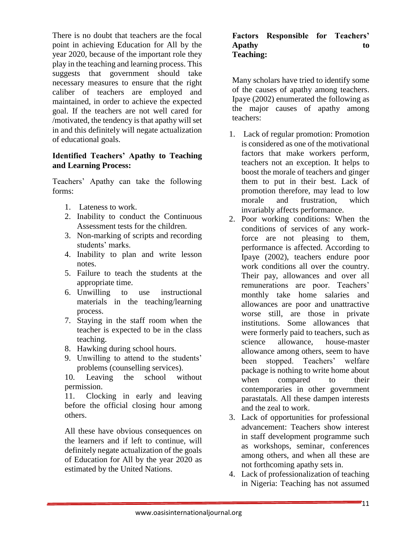There is no doubt that teachers are the focal point in achieving Education for All by the year 2020, because of the important role they play in the teaching and learning process. This suggests that government should take necessary measures to ensure that the right caliber of teachers are employed and maintained, in order to achieve the expected goal. If the teachers are not well cared for /motivated, the tendency is that apathy will set in and this definitely will negate actualization of educational goals.

#### **Identified Teachers' Apathy to Teaching and Learning Process:**

Teachers' Apathy can take the following forms:

- 1. Lateness to work.
- 2. Inability to conduct the Continuous Assessment tests for the children.
- 3. Non-marking of scripts and recording students' marks.
- 4. Inability to plan and write lesson notes.
- 5. Failure to teach the students at the appropriate time.
- 6. Unwilling to use instructional materials in the teaching/learning process.
- 7. Staying in the staff room when the teacher is expected to be in the class teaching.
- 8. Hawking during school hours.
- 9. Unwilling to attend to the students' problems (counselling services).

10. Leaving the school without permission.

11. Clocking in early and leaving before the official closing hour among others.

All these have obvious consequences on the learners and if left to continue, will definitely negate actualization of the goals of Education for All by the year 2020 as estimated by the United Nations.

#### **Factors Responsible for Teachers' Apathy to Teaching:**

Many scholars have tried to identify some of the causes of apathy among teachers. Ipaye (2002) enumerated the following as the major causes of apathy among teachers:

- 1. Lack of regular promotion: Promotion is considered as one of the motivational factors that make workers perform, teachers not an exception. It helps to boost the morale of teachers and ginger them to put in their best. Lack of promotion therefore, may lead to low morale and frustration, which invariably affects performance.
- 2. Poor working conditions: When the conditions of services of any workforce are not pleasing to them, performance is affected. According to Ipaye (2002), teachers endure poor work conditions all over the country. Their pay, allowances and over all remunerations are poor. Teachers' monthly take home salaries and allowances are poor and unattractive worse still, are those in private institutions. Some allowances that were formerly paid to teachers, such as science allowance, house-master allowance among others, seem to have been stopped. Teachers' welfare package is nothing to write home about when compared to their contemporaries in other government parastatals. All these dampen interests and the zeal to work.
- 3. Lack of opportunities for professional advancement: Teachers show interest in staff development programme such as workshops, seminar, conferences among others, and when all these are not forthcoming apathy sets in.
- 4. Lack of professionalization of teaching in Nigeria: Teaching has not assumed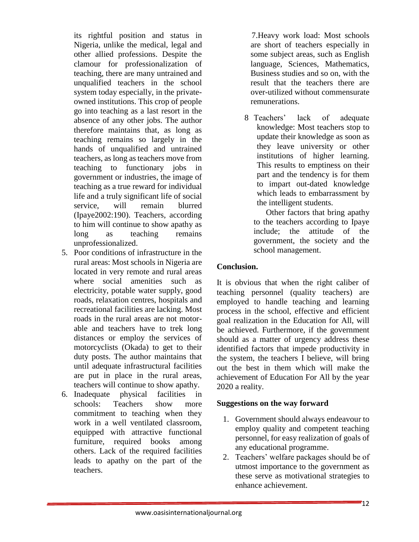its rightful position and status in Nigeria, unlike the medical, legal and other allied professions. Despite the clamour for professionalization of teaching, there are many untrained and unqualified teachers in the school system today especially, in the privateowned institutions. This crop of people go into teaching as a last resort in the absence of any other jobs. The author therefore maintains that, as long as teaching remains so largely in the hands of unqualified and untrained teachers, as long as teachers move from teaching to functionary jobs in government or industries, the image of teaching as a true reward for individual life and a truly significant life of social service, will remain blurred (Ipaye2002:190). Teachers, according to him will continue to show apathy as long as teaching remains unprofessionalized.

- 5. Poor conditions of infrastructure in the rural areas: Most schools in Nigeria are located in very remote and rural areas where social amenities such as electricity, potable water supply, good roads, relaxation centres, hospitals and recreational facilities are lacking. Most roads in the rural areas are not motorable and teachers have to trek long distances or employ the services of motorcyclists (Okada) to get to their duty posts. The author maintains that until adequate infrastructural facilities are put in place in the rural areas, teachers will continue to show apathy.
- 6. Inadequate physical facilities in schools: Teachers show more commitment to teaching when they work in a well ventilated classroom, equipped with attractive functional furniture, required books among others. Lack of the required facilities leads to apathy on the part of the teachers.

 7.Heavy work load: Most schools are short of teachers especially in some subject areas, such as English language, Sciences, Mathematics, Business studies and so on, with the result that the teachers there are over-utilized without commensurate remunerations.

8 Teachers' lack of adequate knowledge: Most teachers stop to update their knowledge as soon as they leave university or other institutions of higher learning. This results to emptiness on their part and the tendency is for them to impart out-dated knowledge which leads to embarrassment by the intelligent students.

Other factors that bring apathy to the teachers according to Ipaye include; the attitude of the government, the society and the school management.

# **Conclusion.**

It is obvious that when the right caliber of teaching personnel (quality teachers) are employed to handle teaching and learning process in the school, effective and efficient goal realization in the Education for All, will be achieved. Furthermore, if the government should as a matter of urgency address these identified factors that impede productivity in the system, the teachers I believe, will bring out the best in them which will make the achievement of Education For All by the year 2020 a reality.

# **Suggestions on the way forward**

- 1. Government should always endeavour to employ quality and competent teaching personnel, for easy realization of goals of any educational programme.
- 2. Teachers' welfare packages should be of utmost importance to the government as these serve as motivational strategies to enhance achievement.